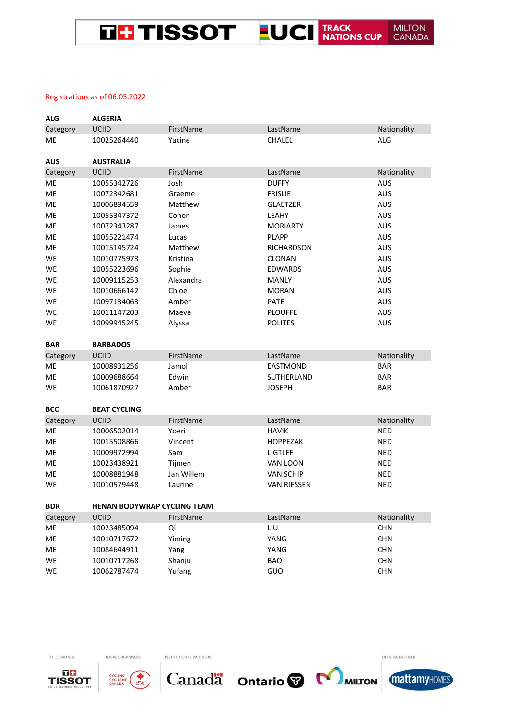#### THE TISSOT FUCI TRACK **MILTON** CANADA

### Registrations as of 06.05.2022

| <b>ALG</b> | <b>ALGERIA</b>                     |            |                    |             |
|------------|------------------------------------|------------|--------------------|-------------|
| Category   | <b>UCIID</b>                       | FirstName  | LastName           | Nationality |
| ME         | 10025264440                        | Yacine     | CHALEL             | <b>ALG</b>  |
| <b>AUS</b> | <b>AUSTRALIA</b>                   |            |                    |             |
| Category   | UCIID                              | FirstName  | LastName           | Nationality |
| ME         | 10055342726                        | Josh       | <b>DUFFY</b>       | <b>AUS</b>  |
| ME         | 10072342681                        | Graeme     | <b>FRISLIE</b>     | <b>AUS</b>  |
| ME         | 10006894559                        | Matthew    | <b>GLAETZER</b>    | <b>AUS</b>  |
| ME         | 10055347372                        | Conor      | LEAHY              | <b>AUS</b>  |
| ME         | 10072343287                        | James      | <b>MORIARTY</b>    | <b>AUS</b>  |
| ME         | 10055221474                        | Lucas      | <b>PLAPP</b>       | <b>AUS</b>  |
| ME         | 10015145724                        | Matthew    | <b>RICHARDSON</b>  | <b>AUS</b>  |
| WE         | 10010775973                        | Kristina   | <b>CLONAN</b>      | <b>AUS</b>  |
| WE         | 10055223696                        | Sophie     | <b>EDWARDS</b>     | <b>AUS</b>  |
| WE         | 10009115253                        | Alexandra  | <b>MANLY</b>       | <b>AUS</b>  |
| WE         | 10010666142                        | Chloe      | <b>MORAN</b>       | <b>AUS</b>  |
| WE         | 10097134063                        | Amber      | <b>PATE</b>        | <b>AUS</b>  |
| WE         | 10011147203                        | Maeve      | <b>PLOUFFE</b>     | <b>AUS</b>  |
| WE         | 10099945245                        | Alyssa     | <b>POLITES</b>     | <b>AUS</b>  |
|            |                                    |            |                    |             |
| <b>BAR</b> | <b>BARBADOS</b>                    |            |                    |             |
| Category   | <b>UCIID</b>                       | FirstName  | LastName           | Nationality |
| ME         | 10008931256                        | Jamol      | <b>EASTMOND</b>    | <b>BAR</b>  |
| ME         | 10009688664                        | Edwin      | SUTHERLAND         | <b>BAR</b>  |
| WE         | 10061870927                        | Amber      | <b>JOSEPH</b>      | <b>BAR</b>  |
|            |                                    |            |                    |             |
| <b>BCC</b> | <b>BEAT CYCLING</b>                |            |                    |             |
| Category   | <b>UCIID</b>                       | FirstName  | LastName           | Nationality |
| ME         | 10006502014                        | Yoeri      | <b>HAVIK</b>       | <b>NED</b>  |
| ME         | 10015508866                        | Vincent    | <b>HOPPEZAK</b>    | <b>NED</b>  |
| ME         | 10009972994                        | Sam        | <b>LIGTLEE</b>     | <b>NED</b>  |
| ME         | 10023438921                        | Tijmen     | VAN LOON           | <b>NED</b>  |
| ME         | 10008881948                        | Jan Willem | <b>VAN SCHIP</b>   | <b>NED</b>  |
| WE         | 10010579448                        | Laurine    | <b>VAN RIESSEN</b> | <b>NED</b>  |
| <b>BDR</b> | <b>HENAN BODYWRAP CYCLING TEAM</b> |            |                    |             |
| Category   | <b>UCIID</b>                       | FirstName  | LastName           | Nationality |
| ME         | 10023485094                        | Qi         | LIU                | <b>CHN</b>  |
| ME         | 10010717672                        | Yiming     | YANG               | <b>CHN</b>  |
| ME         | 10084644911                        | Yang       | YANG               | <b>CHN</b>  |
| WE         | 10010717268                        | Shanju     | <b>BAO</b>         | <b>CHN</b>  |
| <b>WE</b>  | 10062787474                        | Yufang     | GUO                | <b>CHN</b>  |



TITLE PARTNER



LOCAL ORGANISERS

INSTITUTIONAL PARTNERS



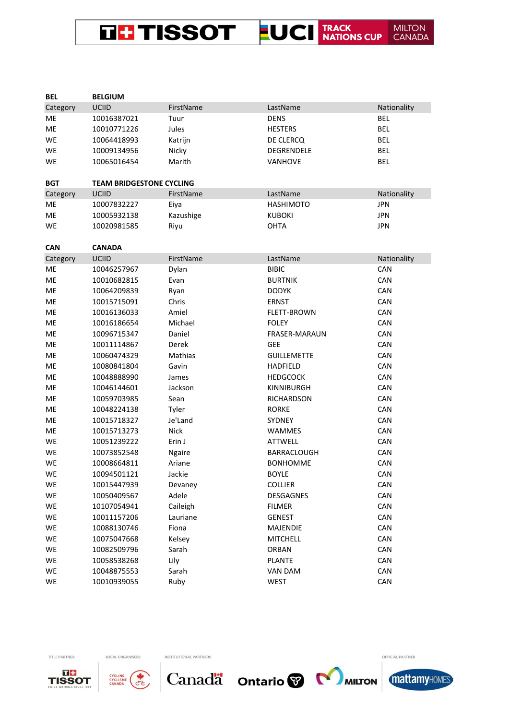#### **LUCI** TRACK NATIONS CUP **MILTON<br>CANADA THE TISSOT**

| <b>BEL</b> | <b>BELGIUM</b>                  |              |                      |             |
|------------|---------------------------------|--------------|----------------------|-------------|
| Category   | UCIID                           | FirstName    | LastName             | Nationality |
| ME         | 10016387021                     | Tuur         | <b>DENS</b>          | <b>BEL</b>  |
| ME         | 10010771226                     | Jules        | <b>HESTERS</b>       | <b>BEL</b>  |
| <b>WE</b>  | 10064418993                     | Katrijn      | DE CLERCQ            | <b>BEL</b>  |
| WE         | 10009134956                     | Nicky        | DEGRENDELE           | <b>BEL</b>  |
| WE         | 10065016454                     | Marith       | <b>VANHOVE</b>       | <b>BEL</b>  |
| <b>BGT</b> | <b>TEAM BRIDGESTONE CYCLING</b> |              |                      |             |
| Category   | <b>UCIID</b>                    | FirstName    | LastName             | Nationality |
| ME         | 10007832227                     | Eiya         | <b>HASHIMOTO</b>     | <b>JPN</b>  |
| ME         | 10005932138                     | Kazushige    | <b>KUBOKI</b>        | <b>JPN</b>  |
| WE         | 10020981585                     | Riyu         | OHTA                 | <b>JPN</b>  |
| <b>CAN</b> | <b>CANADA</b>                   |              |                      |             |
| Category   | UCIID                           | FirstName    | LastName             | Nationality |
| ME         | 10046257967                     | Dylan        | <b>BIBIC</b>         | CAN         |
| ME         | 10010682815                     | Evan         | <b>BURTNIK</b>       | CAN         |
| ME         | 10064209839                     | Ryan         | <b>DODYK</b>         | CAN         |
| ME         | 10015715091                     | Chris        | <b>ERNST</b>         | CAN         |
| ME         | 10016136033                     | Amiel        | <b>FLETT-BROWN</b>   | CAN         |
| ME         | 10016186654                     | Michael      | <b>FOLEY</b>         | CAN         |
| ME         | 10096715347                     | Daniel       | <b>FRASER-MARAUN</b> | CAN         |
| ME         | 10011114867                     | <b>Derek</b> | <b>GEE</b>           | CAN         |
| ME         | 10060474329                     | Mathias      | <b>GUILLEMETTE</b>   | CAN         |
| ME         | 10080841804                     | Gavin        | <b>HADFIELD</b>      | CAN         |
| ME         | 10048888990                     | James        | <b>HEDGCOCK</b>      | CAN         |
| ME         | 10046144601                     | Jackson      | KINNIBURGH           | CAN         |
| ME         | 10059703985                     | Sean         | <b>RICHARDSON</b>    | CAN         |
| ME         | 10048224138                     | Tyler        | <b>RORKE</b>         | CAN         |
| ME         | 10015718327                     | Je'Land      | SYDNEY               | CAN         |
| ME         | 10015713273                     | <b>Nick</b>  | WAMMES               | CAN         |
| WE         | 10051239222                     | Erin J       | <b>ATTWELL</b>       | CAN         |
| WE         | 10073852548                     | Ngaire       | BARRACLOUGH          | CAN         |
| WE         | 10008664811                     | Ariane       | <b>BONHOMME</b>      | CAN         |
| WE         | 10094501121                     | Jackie       | <b>BOYLE</b>         | CAN         |
| WE         | 10015447939                     | Devaney      | <b>COLLIER</b>       | CAN         |
| WE         | 10050409567                     | Adele        | DESGAGNES            | CAN         |
| WE         | 10107054941                     | Caileigh     | <b>FILMER</b>        | CAN         |
| WE         | 10011157206                     | Lauriane     | <b>GENEST</b>        | CAN         |
| WE         | 10088130746                     | Fiona        | <b>MAJENDIE</b>      | CAN         |
| WE         | 10075047668                     | Kelsey       | <b>MITCHELL</b>      | CAN         |
| WE         | 10082509796                     | Sarah        | ORBAN                | CAN         |
| WE         | 10058538268                     | Lily         | PLANTE               | CAN         |
| WE         | 10048875553                     | Sarah        | VAN DAM              | CAN         |



TITLE PARTNER

WE



LOCAL ORGANISERS

10010939055

INSTITUTIONAL PARTNERS

Ruby



**WEST** 



 $CAN$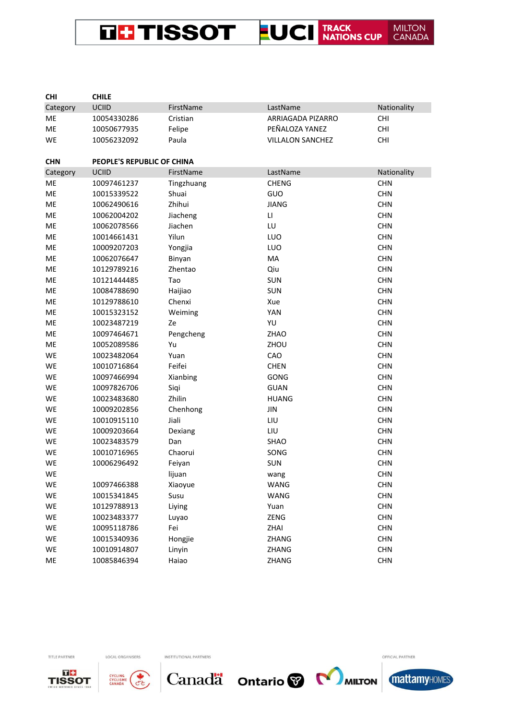THE TISSOT FUCI TRACK MILTON<br>CANADA

| <b>CHI</b> | <b>CHILE</b>               |            |                         |             |
|------------|----------------------------|------------|-------------------------|-------------|
| Category   | <b>UCIID</b>               | FirstName  | LastName                | Nationality |
| ME         | 10054330286                | Cristian   | ARRIAGADA PIZARRO       | <b>CHI</b>  |
| ME         | 10050677935                | Felipe     | PEÑALOZA YANEZ          | <b>CHI</b>  |
| WE         | 10056232092                | Paula      | <b>VILLALON SANCHEZ</b> | <b>CHI</b>  |
| <b>CHN</b> | PEOPLE'S REPUBLIC OF CHINA |            |                         |             |
| Category   | <b>UCIID</b>               | FirstName  | LastName                | Nationality |
| ME         | 10097461237                | Tingzhuang | <b>CHENG</b>            | <b>CHN</b>  |
| ME         | 10015339522                | Shuai      | GUO                     | <b>CHN</b>  |
| ME         | 10062490616                | Zhihui     | <b>JIANG</b>            | <b>CHN</b>  |
| ME         | 10062004202                | Jiacheng   | $\mathsf{L}\mathsf{L}$  | <b>CHN</b>  |
| ME         | 10062078566                | Jiachen    | LU                      | <b>CHN</b>  |
| ME         | 10014661431                | Yilun      | LUO                     | <b>CHN</b>  |
| ME         | 10009207203                | Yongjia    | LUO                     | <b>CHN</b>  |
| ME         | 10062076647                | Binyan     | MA                      | <b>CHN</b>  |
| ME         | 10129789216                | Zhentao    | Qiu                     | <b>CHN</b>  |
| ME         | 10121444485                | Tao        | SUN                     | <b>CHN</b>  |
| ME         | 10084788690                | Haijiao    | SUN                     | <b>CHN</b>  |
| ME         | 10129788610                | Chenxi     | Xue                     | <b>CHN</b>  |
| ME         | 10015323152                | Weiming    | YAN                     | <b>CHN</b>  |
| ME         | 10023487219                | Ze         | YU                      | <b>CHN</b>  |
| ME         | 10097464671                | Pengcheng  | ZHAO                    | <b>CHN</b>  |
| ME         | 10052089586                | Yu         | ZHOU                    | <b>CHN</b>  |
| WE         | 10023482064                | Yuan       | CAO                     | <b>CHN</b>  |
| WE         | 10010716864                | Feifei     | <b>CHEN</b>             | <b>CHN</b>  |
| WE         | 10097466994                | Xianbing   | GONG                    | <b>CHN</b>  |
| WE         | 10097826706                | Siqi       | <b>GUAN</b>             | <b>CHN</b>  |
| WE         | 10023483680                | Zhilin     | <b>HUANG</b>            | <b>CHN</b>  |
| WE         | 10009202856                | Chenhong   | JIN                     | <b>CHN</b>  |
| WE         | 10010915110                | Jiali      | LIU                     | <b>CHN</b>  |
| WE         | 10009203664                | Dexiang    | LIU                     | <b>CHN</b>  |
| WE         | 10023483579                | Dan        | SHAO                    | <b>CHN</b>  |
| WE         | 10010716965                | Chaorui    | SONG                    | <b>CHN</b>  |
| WE         | 10006296492                | Feiyan     | <b>SUN</b>              | <b>CHN</b>  |
| WE         |                            | lijuan     | wang                    | <b>CHN</b>  |
| WE         | 10097466388                | Xiaoyue    | WANG                    | <b>CHN</b>  |
| WE         | 10015341845                | Susu       | WANG                    | <b>CHN</b>  |
| WE         | 10129788913                | Liying     | Yuan                    | <b>CHN</b>  |
| WE         | 10023483377                | Luyao      | ZENG                    | <b>CHN</b>  |
| WE         | 10095118786                | Fei        | ZHAI                    | <b>CHN</b>  |
| WE         | 10015340936                | Hongjie    | ZHANG                   | <b>CHN</b>  |
| WE         | 10010914807                | Linyin     | ZHANG                   | <b>CHN</b>  |
| ME         | 10085846394                | Haiao      | ZHANG                   | <b>CHN</b>  |



TITLE PARTNER



LOCAL ORGANISERS

INSTITUTIONAL PARTNERS



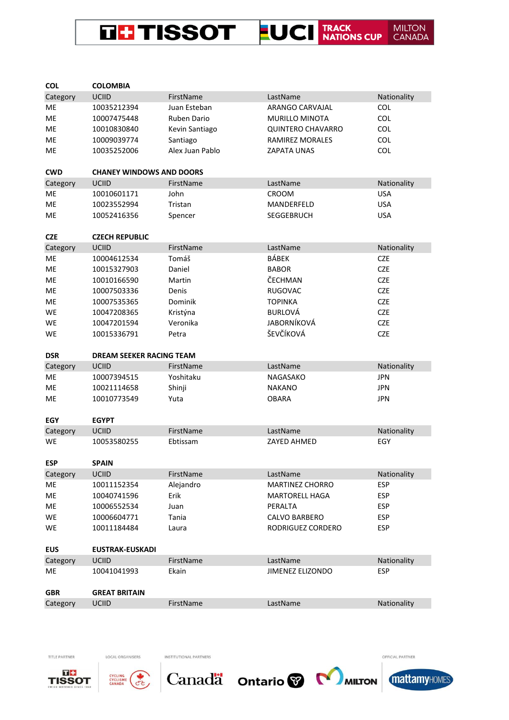

| <b>COL</b>     | <b>COLOMBIA</b>                 |                 |                                     |             |
|----------------|---------------------------------|-----------------|-------------------------------------|-------------|
| Category       | <b>UCIID</b>                    | FirstName       | LastName                            | Nationality |
| МE             | 10035212394                     | Juan Esteban    | ARANGO CARVAJAL                     | <b>COL</b>  |
| ME             | 10007475448                     | Ruben Dario     | <b>MURILLO MINOTA</b>               | <b>COL</b>  |
| ME             | 10010830840                     | Kevin Santiago  | <b>QUINTERO CHAVARRO</b>            | <b>COL</b>  |
| ME             | 10009039774                     | Santiago        | <b>RAMIREZ MORALES</b>              | <b>COL</b>  |
| ME             | 10035252006                     | Alex Juan Pablo | <b>ZAPATA UNAS</b>                  | <b>COL</b>  |
|                |                                 |                 |                                     |             |
| <b>CWD</b>     | <b>CHANEY WINDOWS AND DOORS</b> |                 |                                     |             |
| Category       | <b>UCIID</b>                    | FirstName       | LastName                            | Nationality |
| ME             | 10010601171                     | John            | <b>CROOM</b>                        | <b>USA</b>  |
| <b>ME</b>      | 10023552994                     | Tristan         | MANDERFELD                          | <b>USA</b>  |
| МE             | 10052416356                     | Spencer         | <b>SEGGEBRUCH</b>                   | <b>USA</b>  |
|                |                                 |                 |                                     |             |
| <b>CZE</b>     | <b>CZECH REPUBLIC</b>           |                 |                                     |             |
| Category       | <b>UCIID</b>                    | FirstName       | LastName                            | Nationality |
| ME             | 10004612534                     | Tomáš           | BÁBEK                               | <b>CZE</b>  |
| МE             | 10015327903                     | Daniel          | <b>BABOR</b>                        | <b>CZE</b>  |
| ME             | 10010166590                     | Martin          | ČECHMAN                             | <b>CZE</b>  |
| ME             | 10007503336                     | Denis           | <b>RUGOVAC</b>                      | <b>CZE</b>  |
| ME             | 10007535365                     | Dominik         | <b>TOPINKA</b>                      | <b>CZE</b>  |
| WE             | 10047208365                     | Kristýna        | <b>BURLOVÁ</b>                      | <b>CZE</b>  |
| WE             | 10047201594                     | Veronika        | <b>JABORNÍKOVÁ</b>                  | <b>CZE</b>  |
| WE             | 10015336791                     | Petra           | ŠEVČÍKOVÁ                           | <b>CZE</b>  |
| <b>DSR</b>     | <b>DREAM SEEKER RACING TEAM</b> |                 |                                     |             |
| Category       | <b>UCIID</b>                    | FirstName       | LastName                            | Nationality |
| ME             | 10007394515                     | Yoshitaku       | <b>NAGASAKO</b>                     | <b>JPN</b>  |
|                | 10021114658                     | Shinji          | <b>NAKANO</b>                       | <b>JPN</b>  |
| МE             |                                 |                 |                                     |             |
| ME             | 10010773549                     | Yuta            | <b>OBARA</b>                        | <b>JPN</b>  |
|                |                                 |                 |                                     |             |
| <b>EGY</b>     | <b>EGYPT</b>                    |                 |                                     |             |
| Category       | <b>UCIID</b>                    | FirstName       | LastName                            | Nationality |
| WE             | 10053580255                     | Ebtissam        | ZAYED AHMED                         | EGY         |
|                |                                 |                 |                                     |             |
| <b>ESP</b>     | <b>SPAIN</b>                    |                 |                                     |             |
| Category       | <b>UCIID</b>                    | FirstName       | LastName                            | Nationality |
| ME             | 10011152354                     | Alejandro       | <b>MARTINEZ CHORRO</b>              | <b>ESP</b>  |
| ME             | 10040741596                     | Erik            | <b>MARTORELL HAGA</b>               | <b>ESP</b>  |
| ME             | 10006552534                     | Juan            | PERALTA                             | <b>ESP</b>  |
| WE             | 10006604771                     | Tania           | <b>CALVO BARBERO</b>                | <b>ESP</b>  |
| WE             | 10011184484                     | Laura           | RODRIGUEZ CORDERO                   | <b>ESP</b>  |
| <b>EUS</b>     | <b>EUSTRAK-EUSKADI</b>          |                 |                                     |             |
|                |                                 |                 |                                     |             |
| Category<br>ME | <b>UCIID</b>                    | FirstName       | LastName<br><b>JIMENEZ ELIZONDO</b> | Nationality |
|                | 10041041993                     | Ekain           |                                     | <b>ESP</b>  |
| <b>GBR</b>     | <b>GREAT BRITAIN</b>            |                 |                                     |             |





LOCAL ORGANISERS

INSTITUTIONAL PARTNERS

OFFICIAL PARTNER

Canadä ontario v Muron mattamyHOMES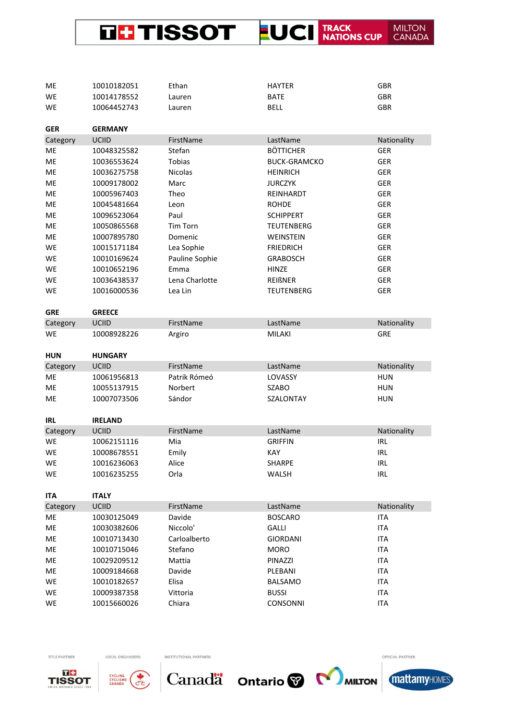

| ME         | 10010182051    | Ethan          | <b>HAYTER</b>       | GBR         |
|------------|----------------|----------------|---------------------|-------------|
| WE         | 10014178552    | Lauren         | <b>BATE</b>         | <b>GBR</b>  |
| WE         | 10064452743    | Lauren         | <b>BELL</b>         | <b>GBR</b>  |
|            |                |                |                     |             |
| <b>GER</b> | <b>GERMANY</b> |                |                     |             |
| Category   | <b>UCIID</b>   | FirstName      | LastName            | Nationality |
| ME         | 10048325582    | Stefan         | <b>BÖTTICHER</b>    | <b>GER</b>  |
| ME         | 10036553624    | <b>Tobias</b>  | <b>BUCK-GRAMCKO</b> | <b>GER</b>  |
| ME         | 10036275758    | <b>Nicolas</b> | <b>HEINRICH</b>     | <b>GER</b>  |
| ME         | 10009178002    | Marc           | <b>JURCZYK</b>      | <b>GER</b>  |
| ME         | 10005967403    | Theo           | REINHARDT           | <b>GER</b>  |
| ME         | 10045481664    | Leon           | <b>ROHDE</b>        | GER         |
| ME         | 10096523064    | Paul           | <b>SCHIPPERT</b>    | <b>GER</b>  |
| ME         | 10050865568    | Tim Torn       | <b>TEUTENBERG</b>   | <b>GER</b>  |
| ME         | 10007895780    | Domenic        | WEINSTEIN           | <b>GER</b>  |
| WE         | 10015171184    | Lea Sophie     | <b>FRIEDRICH</b>    | <b>GER</b>  |
| <b>WE</b>  | 10010169624    | Pauline Sophie | <b>GRABOSCH</b>     | <b>GER</b>  |
| WE         | 10010652196    | Emma           | <b>HINZE</b>        | <b>GER</b>  |
| WE         | 10036438537    | Lena Charlotte | REIßNER             | <b>GER</b>  |
| WE         | 10016000536    | Lea Lin        | <b>TEUTENBERG</b>   | <b>GER</b>  |
|            |                |                |                     |             |
| <b>GRE</b> | <b>GREECE</b>  |                |                     |             |
| Category   | <b>UCIID</b>   | FirstName      | LastName            | Nationality |
| WE         | 10008928226    | Argiro         | <b>MILAKI</b>       | <b>GRE</b>  |
|            |                |                |                     |             |
|            |                |                |                     |             |
| <b>HUN</b> | <b>HUNGARY</b> |                |                     |             |
| Category   | <b>UCIID</b>   | FirstName      | LastName            | Nationality |
| ME         | 10061956813    | Patrik Rómeó   | LOVASSY             | <b>HUN</b>  |
| ME         | 10055137915    | Norbert        | <b>SZABO</b>        | <b>HUN</b>  |
| ME         | 10007073506    | Sándor         | SZALONTAY           | <b>HUN</b>  |
|            |                |                |                     |             |
| IRL        | <b>IRELAND</b> |                |                     |             |
| Category   | UCIID          | FirstName      | LastName            | Nationality |
| WE         | 10062151116    | Mia            | <b>GRIFFIN</b>      | <b>IRL</b>  |
| WE         | 10008678551    | Emily          | KAY                 | <b>IRL</b>  |
| WE         | 10016236063    | Alice          | <b>SHARPE</b>       | <b>IRL</b>  |
| WE         | 10016235255    | Orla           | WALSH               | <b>IRL</b>  |
|            |                |                |                     |             |
| <b>ITA</b> | <b>ITALY</b>   |                |                     |             |
| Category   | <b>UCIID</b>   | FirstName      | LastName            | Nationality |
| ME         | 10030125049    | Davide         | <b>BOSCARO</b>      | <b>ITA</b>  |
| ME         | 10030382606    | Niccolo'       | <b>GALLI</b>        | <b>ITA</b>  |
| ME         | 10010713430    | Carloalberto   | <b>GIORDANI</b>     | <b>ITA</b>  |
| ME         | 10010715046    | Stefano        | <b>MORO</b>         | <b>ITA</b>  |
| ME         | 10029209512    | Mattia         | PINAZZI             | <b>ITA</b>  |
| ME         | 10009184668    | Davide         | PLEBANI             | <b>ITA</b>  |
| WE         | 10010182657    | Elisa          | <b>BALSAMO</b>      | <b>ITA</b>  |
| WE         | 10009387358    | Vittoria       | <b>BUSSI</b>        | <b>ITA</b>  |





LOCAL ORGANISERS



INSTITUTIONAL PARTNERS



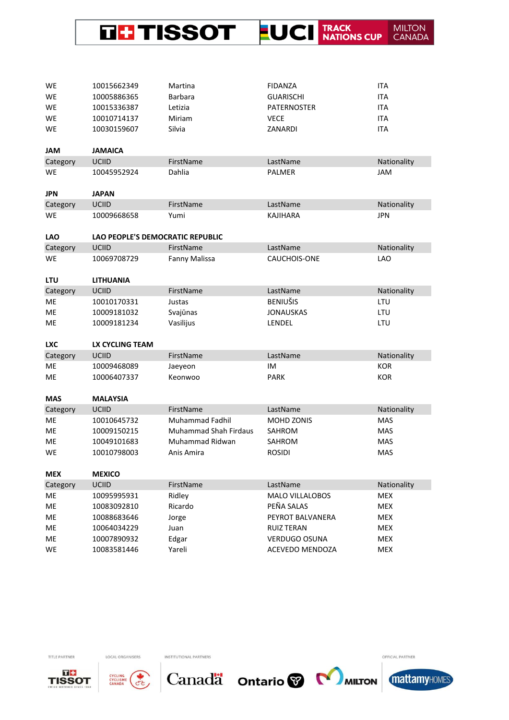

| WE         | 10015662349                      | Martina                      | <b>FIDANZA</b>         | <b>ITA</b>  |
|------------|----------------------------------|------------------------------|------------------------|-------------|
| WE         | 10005886365                      | <b>Barbara</b>               | <b>GUARISCHI</b>       | <b>ITA</b>  |
| <b>WE</b>  | 10015336387                      | Letizia                      | <b>PATERNOSTER</b>     | <b>ITA</b>  |
| WE         | 10010714137                      | Miriam                       | <b>VECE</b>            | <b>ITA</b>  |
| WE         | 10030159607                      | Silvia                       | ZANARDI                | <b>ITA</b>  |
|            |                                  |                              |                        |             |
| <b>JAM</b> | <b>JAMAICA</b>                   |                              |                        |             |
| Category   | <b>UCIID</b>                     | FirstName                    | LastName               | Nationality |
| WE         | 10045952924                      | Dahlia                       | PALMER                 | JAM         |
| <b>JPN</b> | <b>JAPAN</b>                     |                              |                        |             |
| Category   | UCIID                            | FirstName                    | LastName               | Nationality |
| WE         | 10009668658                      | Yumi                         | <b>KAJIHARA</b>        | <b>JPN</b>  |
| <b>LAO</b> | LAO PEOPLE'S DEMOCRATIC REPUBLIC |                              |                        |             |
| Category   | UCIID                            | FirstName                    | LastName               | Nationality |
| WE         | 10069708729                      | Fanny Malissa                | <b>CAUCHOIS-ONE</b>    | LAO         |
|            |                                  |                              |                        |             |
| <b>LTU</b> | <b>LITHUANIA</b>                 |                              |                        |             |
| Category   | <b>UCIID</b>                     | FirstName                    | LastName               | Nationality |
| ME         | 10010170331                      | Justas                       | <b>BENIUŠIS</b>        | LTU         |
| ME         | 10009181032                      | Svajūnas                     | <b>JONAUSKAS</b>       | LTU         |
|            |                                  |                              |                        |             |
| ME         | 10009181234                      | Vasilijus                    | LENDEL                 | LTU         |
|            |                                  |                              |                        |             |
| <b>LXC</b> | LX CYCLING TEAM                  |                              |                        |             |
| Category   | <b>UCIID</b>                     | FirstName                    | LastName               | Nationality |
| ME         | 10009468089                      | Jaeyeon                      | IM                     | <b>KOR</b>  |
| ME         | 10006407337                      | Keonwoo                      | <b>PARK</b>            | <b>KOR</b>  |
| <b>MAS</b> | <b>MALAYSIA</b>                  |                              |                        |             |
| Category   | <b>UCIID</b>                     | FirstName                    | LastName               | Nationality |
| ME         | 10010645732                      | <b>Muhammad Fadhil</b>       | MOHD ZONIS             | <b>MAS</b>  |
| ME         | 10009150215                      | <b>Muhammad Shah Firdaus</b> | SAHROM                 | <b>MAS</b>  |
| ME         | 10049101683                      | Muhammad Ridwan              | <b>SAHROM</b>          | <b>MAS</b>  |
| WE         | 10010798003                      | Anis Amira                   | <b>ROSIDI</b>          | <b>MAS</b>  |
| <b>MEX</b> | <b>MEXICO</b>                    |                              |                        |             |
| Category   | <b>UCIID</b>                     | FirstName                    | LastName               | Nationality |
| ME         | 10095995931                      | Ridley                       | <b>MALO VILLALOBOS</b> | <b>MEX</b>  |
| ME         | 10083092810                      | Ricardo                      | PEÑA SALAS             | <b>MEX</b>  |
| ME         | 10088683646                      | Jorge                        | PEYROT BALVANERA       | MEX         |
| ME         | 10064034229                      | Juan                         | <b>RUIZ TERAN</b>      | <b>MEX</b>  |
| ME         | 10007890932                      | Edgar                        | <b>VERDUGO OSUNA</b>   | <b>MEX</b>  |





LOCAL ORGANISERS

INSTITUTIONAL PARTNERS



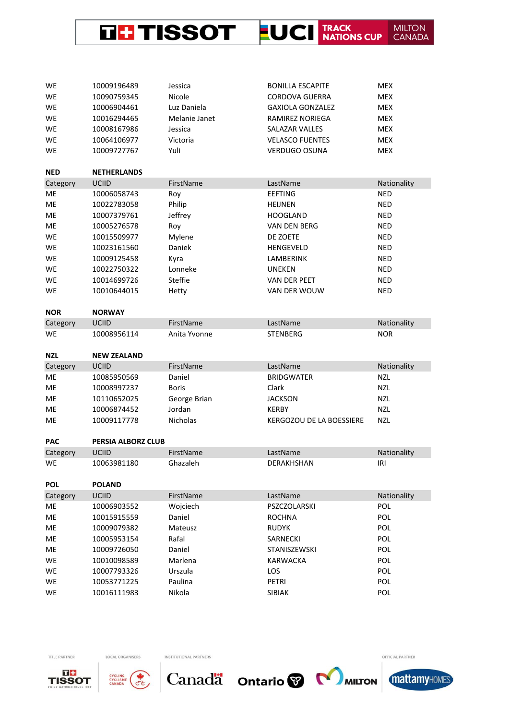

| WE         | 10009196489        | Jessica       | <b>BONILLA ESCAPITE</b>  | <b>MEX</b>  |
|------------|--------------------|---------------|--------------------------|-------------|
| WE         | 10090759345        | Nicole        | <b>CORDOVA GUERRA</b>    | <b>MEX</b>  |
| WE         | 10006904461        | Luz Daniela   | <b>GAXIOLA GONZALEZ</b>  | <b>MEX</b>  |
| WE         | 10016294465        | Melanie Janet | <b>RAMIREZ NORIEGA</b>   | <b>MEX</b>  |
| <b>WE</b>  | 10008167986        | Jessica       | <b>SALAZAR VALLES</b>    | <b>MEX</b>  |
| WE         | 10064106977        | Victoria      | <b>VELASCO FUENTES</b>   | <b>MEX</b>  |
| WE         | 10009727767        | Yuli          | <b>VERDUGO OSUNA</b>     | <b>MEX</b>  |
|            |                    |               |                          |             |
| <b>NED</b> | <b>NETHERLANDS</b> |               |                          |             |
| Category   | <b>UCIID</b>       | FirstName     | LastName                 | Nationality |
| ME         | 10006058743        | Roy           | <b>EEFTING</b>           | <b>NED</b>  |
| ME         | 10022783058        | Philip        | <b>HEIJNEN</b>           | <b>NED</b>  |
| ME         | 10007379761        | Jeffrey       | <b>HOOGLAND</b>          | <b>NED</b>  |
| ME         | 10005276578        | Roy           | <b>VAN DEN BERG</b>      | <b>NED</b>  |
| WE         | 10015509977        | Mylene        | DE ZOETE                 | <b>NED</b>  |
| WE         | 10023161560        | Daniek        | <b>HENGEVELD</b>         | <b>NED</b>  |
| <b>WE</b>  | 10009125458        | Kyra          | LAMBERINK                | <b>NED</b>  |
| <b>WE</b>  | 10022750322        | Lonneke       | <b>UNEKEN</b>            | <b>NED</b>  |
| WE         | 10014699726        | Steffie       | VAN DER PEET             | <b>NED</b>  |
| WE         | 10010644015        | Hetty         | VAN DER WOUW             | <b>NED</b>  |
|            |                    |               |                          |             |
| <b>NOR</b> | <b>NORWAY</b>      |               |                          |             |
| Category   | <b>UCIID</b>       | FirstName     | LastName                 | Nationality |
| WE         | 10008956114        | Anita Yvonne  | <b>STENBERG</b>          | <b>NOR</b>  |
|            |                    |               |                          |             |
|            |                    |               |                          |             |
| <b>NZL</b> | <b>NEW ZEALAND</b> |               |                          |             |
| Category   | <b>UCIID</b>       | FirstName     | LastName                 | Nationality |
| ME         | 10085950569        | Daniel        | <b>BRIDGWATER</b>        | <b>NZL</b>  |
| ME         | 10008997237        | <b>Boris</b>  | Clark                    | <b>NZL</b>  |
| ME         | 10110652025        | George Brian  | <b>JACKSON</b>           | <b>NZL</b>  |
| ME         | 10006874452        | Jordan        | <b>KERBY</b>             | <b>NZL</b>  |
| ME         | 10009117778        | Nicholas      | KERGOZOU DE LA BOESSIERE | <b>NZL</b>  |
|            |                    |               |                          |             |
| <b>PAC</b> | PERSIA ALBORZ CLUB |               |                          |             |
| Category   | UCIID              | FirstName     | LastName                 | Nationality |
| WE         | 10063981180        | Ghazaleh      | DERAKHSHAN               | IRI         |
|            |                    |               |                          |             |
| <b>POL</b> | <b>POLAND</b>      |               |                          |             |
| Category   | UCIID              | FirstName     | LastName                 | Nationality |
| ME         | 10006903552        | Wojciech      | PSZCZOLARSKI             | POL         |
| ME         | 10015915559        | Daniel        | ROCHNA                   | POL         |
| ME         | 10009079382        | Mateusz       | <b>RUDYK</b>             | POL         |
| ME         | 10005953154        | Rafal         | SARNECKI                 | POL         |
| ME         | 10009726050        | Daniel        | STANISZEWSKI             | POL         |
| <b>WE</b>  | 10010098589        | Marlena       | KARWACKA                 | POL         |
| WE         | 10007793326        | Urszula       | LOS                      | POL         |
| WE         | 10053771225        | Paulina       | PETRI                    | POL         |





LOCAL ORGANISERS

INSTITUTIONAL PARTNERS

Canada Ontario & MILTON

OFFICIAL PARTNER

**mattamyHOMES**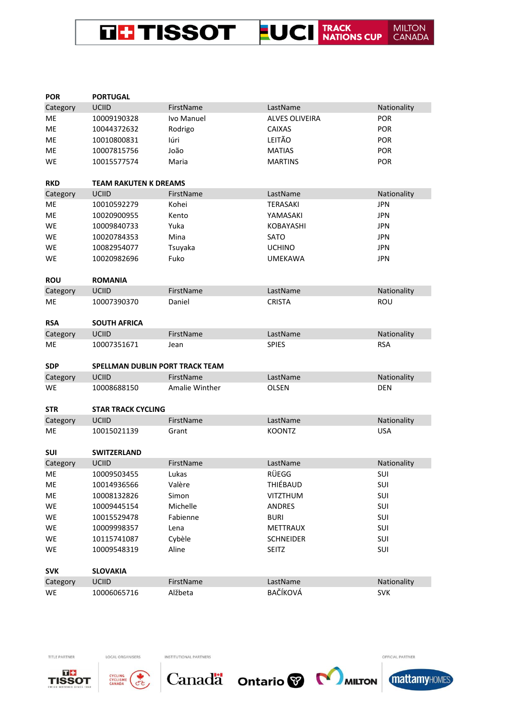# THE TISSOT LUCI TRACK MILITON

| <b>POR</b> | <b>PORTUGAL</b>                        |                       |                       |             |
|------------|----------------------------------------|-----------------------|-----------------------|-------------|
| Category   | <b>UCIID</b>                           | FirstName             | LastName              | Nationality |
| ME         | 10009190328                            | Ivo Manuel            | <b>ALVES OLIVEIRA</b> | <b>POR</b>  |
| ME         | 10044372632                            | Rodrigo               | <b>CAIXAS</b>         | <b>POR</b>  |
| ME         | 10010800831                            | Iúri                  | LEITÃO                | POR         |
| ME         | 10007815756                            | João                  | <b>MATIAS</b>         | <b>POR</b>  |
| WE         | 10015577574                            | Maria                 | <b>MARTINS</b>        | POR         |
| <b>RKD</b> | <b>TEAM RAKUTEN K DREAMS</b>           |                       |                       |             |
| Category   | UCIID                                  | FirstName             | LastName              | Nationality |
| ME         | 10010592279                            | Kohei                 | <b>TERASAKI</b>       | <b>JPN</b>  |
| ME         | 10020900955                            | Kento                 | YAMASAKI              | <b>JPN</b>  |
| WE         | 10009840733                            | Yuka                  | <b>KOBAYASHI</b>      | <b>JPN</b>  |
| WE         | 10020784353                            | Mina                  | <b>SATO</b>           | <b>JPN</b>  |
| WE         | 10082954077                            | Tsuyaka               | <b>UCHINO</b>         | <b>JPN</b>  |
| WE         | 10020982696                            | Fuko                  | <b>UMEKAWA</b>        | <b>JPN</b>  |
| <b>ROU</b> | <b>ROMANIA</b>                         |                       |                       |             |
| Category   | <b>UCIID</b>                           | FirstName             | LastName              | Nationality |
| ME         | 10007390370                            | Daniel                | <b>CRISTA</b>         | <b>ROU</b>  |
| <b>RSA</b> | <b>SOUTH AFRICA</b>                    |                       |                       |             |
| Category   | <b>UCIID</b>                           | FirstName             | LastName              | Nationality |
| ME         | 10007351671                            | Jean                  | <b>SPIES</b>          | <b>RSA</b>  |
| <b>SDP</b> | <b>SPELLMAN DUBLIN PORT TRACK TEAM</b> |                       |                       |             |
| Category   | <b>UCIID</b>                           | FirstName             | LastName              | Nationality |
| WE         | 10008688150                            | <b>Amalie Winther</b> | <b>OLSEN</b>          | <b>DEN</b>  |
| <b>STR</b> | <b>STAR TRACK CYCLING</b>              |                       |                       |             |
| Category   | UCIID                                  | FirstName             | LastName              | Nationality |
| ME         | 10015021139                            | Grant                 | <b>KOONTZ</b>         | <b>USA</b>  |
| SUI        | <b>SWITZERLAND</b>                     |                       |                       |             |
| Category   | <b>UCIID</b>                           | FirstName             | LastName              | Nationality |
| ME         | 10009503455                            | Lukas                 | <b>RÜEGG</b>          | SUI         |
| ME         | 10014936566                            | Valère                | THIÉBAUD              | SUI         |
| ME         | 10008132826                            | Simon                 | <b>VITZTHUM</b>       | SUI         |
| WE         | 10009445154                            | Michelle              | ANDRES                | SUI         |
| WE         | 10015529478                            | Fabienne              | <b>BURI</b>           | SUI         |
| WE         | 10009998357                            | Lena                  | METTRAUX              | SUI         |
| WE         | 10115741087                            | Cybèle                | <b>SCHNEIDER</b>      | SUI         |
| WE         | 10009548319                            | Aline                 | <b>SEITZ</b>          | SUI         |
| <b>SVK</b> | <b>SLOVAKIA</b>                        |                       |                       |             |
| Category   | UCIID                                  | FirstName             | LastName              | Nationality |
| WE         | 10006065716                            | Alžbeta               | BAČÍKOVÁ              | <b>SVK</b>  |



TITLE PARTNER



LOCAL ORGANISERS

INSTITUTIONAL PARTNERS



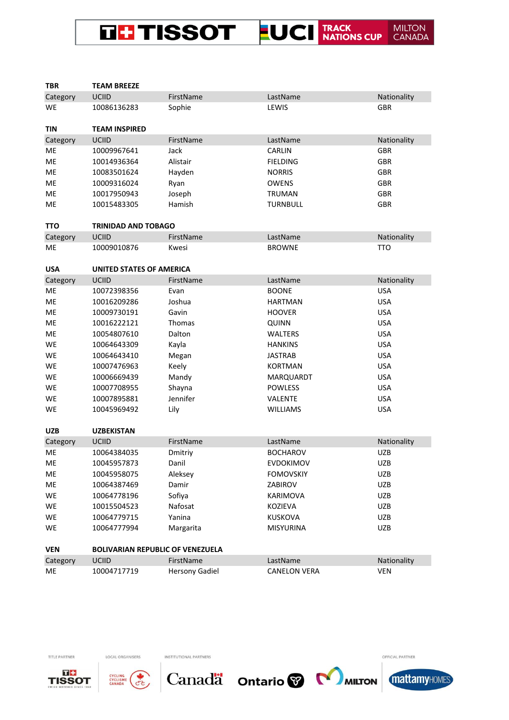## THE TISSOT FUCI TRACK NATIONS CUP MILTON<br>CANADA

| <b>TBR</b>     | <b>TEAM BREEZE</b>                      |                       |                     |                           |
|----------------|-----------------------------------------|-----------------------|---------------------|---------------------------|
| Category       | <b>UCIID</b>                            | FirstName             | LastName            | Nationality               |
| WE             | 10086136283                             | Sophie                | LEWIS               | <b>GBR</b>                |
| <b>TIN</b>     | <b>TEAM INSPIRED</b>                    |                       |                     |                           |
| Category       | UCIID                                   | FirstName             | LastName            | Nationality               |
| ME             | 10009967641                             | Jack                  | CARLIN              | <b>GBR</b>                |
| ME             | 10014936364                             | Alistair              | <b>FIELDING</b>     | <b>GBR</b>                |
| ME             | 10083501624                             | Hayden                | <b>NORRIS</b>       | <b>GBR</b>                |
| ME             | 10009316024                             | Ryan                  | <b>OWENS</b>        | <b>GBR</b>                |
| ME             | 10017950943                             | Joseph                | TRUMAN              | <b>GBR</b>                |
| ME             | 10015483305                             | Hamish                | <b>TURNBULL</b>     | <b>GBR</b>                |
|                |                                         |                       |                     |                           |
| <b>TTO</b>     | <b>TRINIDAD AND TOBAGO</b>              |                       |                     |                           |
| Category       | <b>UCIID</b>                            | FirstName             | LastName            | Nationality               |
| ME             | 10009010876                             | Kwesi                 | <b>BROWNE</b>       | <b>TTO</b>                |
|                |                                         |                       |                     |                           |
| <b>USA</b>     | <b>UNITED STATES OF AMERICA</b>         |                       |                     |                           |
| Category       | <b>UCIID</b>                            | FirstName             | LastName            | Nationality               |
| МE             | 10072398356                             | Evan                  | <b>BOONE</b>        | <b>USA</b>                |
| ME             | 10016209286                             | Joshua                | <b>HARTMAN</b>      | <b>USA</b>                |
| ME             | 10009730191                             | Gavin                 | <b>HOOVER</b>       | <b>USA</b>                |
| ME             | 10016222121                             | <b>Thomas</b>         | QUINN               | <b>USA</b>                |
| ME             | 10054807610                             | Dalton                | <b>WALTERS</b>      | <b>USA</b>                |
| WE             | 10064643309                             | Kayla                 | <b>HANKINS</b>      | <b>USA</b>                |
| WE             | 10064643410                             | Megan                 | <b>JASTRAB</b>      | <b>USA</b>                |
| WE             | 10007476963                             | Keely                 | <b>KORTMAN</b>      | <b>USA</b>                |
| WE             | 10006669439                             | Mandy                 | MARQUARDT           | <b>USA</b>                |
| WE             | 10007708955                             | Shayna                | <b>POWLESS</b>      | <b>USA</b>                |
| WE             | 10007895881                             | Jennifer              | VALENTE             | <b>USA</b>                |
| WE             | 10045969492                             | Lily                  | <b>WILLIAMS</b>     | <b>USA</b>                |
|                |                                         |                       |                     |                           |
| <b>UZB</b>     | <b>UZBEKISTAN</b>                       |                       |                     |                           |
| Category       | <b>UCIID</b>                            | FirstName             | LastName            | Nationality               |
| ME             | 10064384035                             | Dmitriy               | <b>BOCHAROV</b>     | <b>UZB</b>                |
| ME             | 10045957873                             | Danil                 | EVDOKIMOV           | <b>UZB</b>                |
| ME             | 10045958075                             | Aleksey               | <b>FOMOVSKIY</b>    | UZB                       |
| ME             | 10064387469                             | Damir                 | ZABIROV             | <b>UZB</b>                |
| WE             | 10064778196                             | Sofiya                | <b>KARIMOVA</b>     | <b>UZB</b>                |
| WE             | 10015504523                             | Nafosat               | KOZIEVA             | <b>UZB</b>                |
| WE             | 10064779715                             | Yanina                | <b>KUSKOVA</b>      | <b>UZB</b>                |
| WE             | 10064777994                             | Margarita             | <b>MISYURINA</b>    | <b>UZB</b>                |
| <b>VEN</b>     | <b>BOLIVARIAN REPUBLIC OF VENEZUELA</b> |                       |                     |                           |
|                | UCIID                                   | FirstName             | LastName            |                           |
| Category<br>ME | 10004717719                             |                       | <b>CANELON VERA</b> | Nationality<br><b>VEN</b> |
|                |                                         | <b>Hersony Gadiel</b> |                     |                           |



TITLE PARTNER



LOCAL ORGANISERS

INSTITUTIONAL PARTNERS